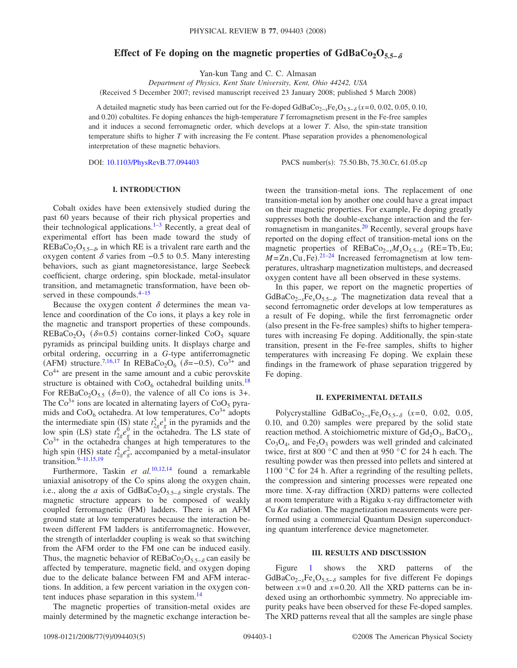# Effect of Fe doping on the magnetic properties of GdBaCo<sub>2</sub>O<sub>5.5−</sub>

Yan-kun Tang and C. C. Almasan

*Department of Physics, Kent State University, Kent, Ohio 44242, USA*

(Received 5 December 2007; revised manuscript received 23 January 2008; published 5 March 2008)

A detailed magnetic study has been carried out for the Fe-doped GdBaCo<sub>2−*x*</sub>Fe<sub>x</sub>O<sub>5.5−8</sub> (*x*=0, 0.02, 0.05, 0.10, and 0.20) cobaltites. Fe doping enhances the high-temperature T ferromagnetism present in the Fe-free samples and it induces a second ferromagnetic order, which develops at a lower *T*. Also, the spin-state transition temperature shifts to higher *T* with increasing the Fe content. Phase separation provides a phenomenological interpretation of these magnetic behaviors.

DOI: [10.1103/PhysRevB.77.094403](http://dx.doi.org/10.1103/PhysRevB.77.094403)

PACS number(s): 75.50.Bb, 75.30.Cr, 61.05.cp

# **I. INTRODUCTION**

Cobalt oxides have been extensively studied during the past 60 years because of their rich physical properties and their technological applications.<sup>1–[3](#page-4-1)</sup> Recently, a great deal of experimental effort has been made toward the study of REBaCo<sub>2</sub>O<sub>5.5− $\delta$ </sub>, in which RE is a trivalent rare earth and the oxygen content  $\delta$  varies from  $-0.5$  to 0.5. Many interesting behaviors, such as giant magnetoresistance, large Seebeck coefficient, charge ordering, spin blockade, metal-insulator transition, and metamagnetic transformation, have been observed in these compounds. $4-15$ 

Because the oxygen content  $\delta$  determines the mean valence and coordination of the Co ions, it plays a key role in the magnetic and transport properties of these compounds.  $REBaCo<sub>2</sub>O<sub>5</sub>$  ( $\delta=0.5$ ) contains corner-linked CoO<sub>5</sub> square pyramids as principal building units. It displays charge and orbital ordering, occurring in a *G*-type antiferromagnetic (AFM) structure.<sup>7,[16](#page-4-5)[,17](#page-4-6)</sup> In REBaCo<sub>2</sub>O<sub>6</sub> ( $\delta$ =-0.5), Co<sup>3+</sup> and  $Co<sup>4+</sup>$  are present in the same amount and a cubic perovskite structure is obtained with  $CoO<sub>6</sub>$  octahedral building units.<sup>18</sup> For REBaCo<sub>2</sub>O<sub>5.5</sub> ( $\delta$ =0), the valence of all Co ions is 3+. The  $Co<sup>3+</sup>$  ions are located in alternating layers of  $CoO<sub>5</sub>$  pyramids and  $CoO<sub>6</sub>$  octahedra. At low temperatures,  $Co<sup>3+</sup>$  adopts the intermediate spin (IS) state  $t_{2g}^5 e_g^1$  in the pyramids and the low spin (LS) state  $t_{2g}^6 e_g^0$  in the octahedra. The LS state of  $Co<sup>3+</sup>$  in the octahedra changes at high temperatures to the high spin (HS) state  $t_{2g}^4 e_g^2$ , accompanied by a metal-insulator transition. $9-11,15,19$  $9-11,15,19$  $9-11,15,19$  $9-11,15,19$ 

Furthermore, Taskin *et al.*[10](#page-4-11)[,12,](#page-4-12)[14](#page-4-13) found a remarkable uniaxial anisotropy of the Co spins along the oxygen chain, i.e., along the *a* axis of GdBaCo<sub>2</sub>O<sub>5.5−</sub> single crystals. The magnetic structure appears to be composed of weakly coupled ferromagnetic (FM) ladders. There is an AFM ground state at low temperatures because the interaction between different FM ladders is antiferromagnetic. However, the strength of interladder coupling is weak so that switching from the AFM order to the FM one can be induced easily. Thus, the magnetic behavior of REBaCo<sub>2</sub>O<sub>5.5−</sub> can easily be affected by temperature, magnetic field, and oxygen doping due to the delicate balance between FM and AFM interactions. In addition, a few percent variation in the oxygen content induces phase separation in this system.<sup>14</sup>

The magnetic properties of transition-metal oxides are mainly determined by the magnetic exchange interaction between the transition-metal ions. The replacement of one transition-metal ion by another one could have a great impact on their magnetic properties. For example, Fe doping greatly suppresses both the double-exchange interaction and the ferromagnetism in manganites.<sup>20</sup> Recently, several groups have reported on the doping effect of transition-metal ions on the magnetic properties of REBaCo<sub>2−*xM<sub>x</sub>O*5.5− $\delta$  (RE=Tb,Eu;</sub>  $M = Zn$ , Cu, Fe).<sup>[21–](#page-4-15)[24](#page-4-16)</sup> Increased ferromagnetism at low temperatures, ultrasharp magnetization multisteps, and decreased oxygen content have all been observed in these systems.

In this paper, we report on the magnetic properties of GdBaCo<sub>2−*x*</sub>Fe<sub>*x*</sub>O<sub>5.5− $\delta$ </sub>. The magnetization data reveal that a second ferromagnetic order develops at low temperatures as a result of Fe doping, while the first ferromagnetic order (also present in the Fe-free samples) shifts to higher temperatures with increasing Fe doping. Additionally, the spin-state transition, present in the Fe-free samples, shifts to higher temperatures with increasing Fe doping. We explain these findings in the framework of phase separation triggered by Fe doping.

#### **II. EXPERIMENTAL DETAILS**

Polycrystalline GdBaCo<sub>2−*x*</sub>Fe<sub>*x*</sub>O<sub>5.5−δ</sub> (*x*=0, 0.02, 0.05, 0.10, and 0.20) samples were prepared by the solid state reaction method. A stoichiometric mixture of  $Gd_2O_3$ , BaCO<sub>3</sub>,  $Co<sub>3</sub>O<sub>4</sub>$ , and  $Fe<sub>2</sub>O<sub>3</sub>$  powders was well grinded and calcinated twice, first at 800 °C and then at 950 °C for 24 h each. The resulting powder was then pressed into pellets and sintered at 1100 °C for 24 h. After a regrinding of the resulting pellets, the compression and sintering processes were repeated one more time. X-ray diffraction (XRD) patterns were collected at room temperature with a Rigaku x-ray diffractometer with Cu  $K\alpha$  radiation. The magnetization measurements were performed using a commercial Quantum Design superconducting quantum interference device magnetometer.

### **III. RESULTS AND DISCUSSION**

Figure [1](#page-1-0) shows the XRD patterns of the GdBaCo<sub>2−*x*</sub>Fe<sub>*x*</sub>O<sub>5.5−δ</sub> samples for five different Fe dopings between  $x=0$  and  $x=0.20$ . All the XRD patterns can be indexed using an orthorhombic symmetry. No appreciable impurity peaks have been observed for these Fe-doped samples. The XRD patterns reveal that all the samples are single phase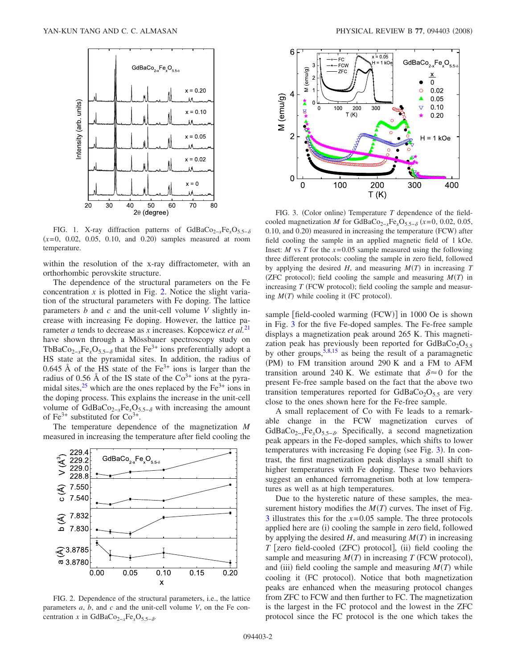<span id="page-1-0"></span>

FIG. 1. X-ray diffraction patterns of GdBaCo<sub>2−*x*</sub>Fe<sub>*x*</sub>O<sub>5.5−δ</sub>  $(x=0, 0.02, 0.05, 0.10, and 0.20)$  samples measured at room temperature.

within the resolution of the x-ray diffractometer, with an orthorhombic perovskite structure.

The dependence of the structural parameters on the Fe concentration  $x$  is plotted in Fig. [2.](#page-1-1) Notice the slight variation of the structural parameters with Fe doping. The lattice parameters *b* and *c* and the unit-cell volume *V* slightly increase with increasing Fe doping. However, the lattice parameter *a* tends to decrease as *x* increases. Kopcewicz *et al.*[21](#page-4-15) have shown through a Mössbauer spectroscopy study on TbBaCo<sub>2−*x*</sub>Fe<sub>*x*</sub>O<sub>5.5− $\delta$ </sub> that the Fe<sup>3+</sup> ions preferentially adopt a HS state at the pyramidal sites. In addition, the radius of 0.645 Å of the HS state of the  $Fe<sup>3+</sup>$  ions is larger than the radius of 0.56 Å of the IS state of the  $Co<sup>3+</sup>$  ions at the pyramidal sites,  $2^5$  which are the ones replaced by the Fe<sup>3+</sup> ions in the doping process. This explains the increase in the unit-cell volume of GdBaCo<sub>2−*x*</sub>Fe<sub>*x*</sub>O<sub>5.5− $\delta$ </sub> with increasing the amount of Fe<sup>3+</sup> substituted for  $Co^{3+}$ .

The temperature dependence of the magnetization *M* measured in increasing the temperature after field cooling the

<span id="page-1-1"></span>

FIG. 2. Dependence of the structural parameters, i.e., the lattice parameters *a*, *b*, and *c* and the unit-cell volume *V*, on the Fe concentration *x* in GdBaCo<sub>2−*x*</sub>Fe<sub>*x*</sub>O<sub>5.5− $\delta$ </sub>.

<span id="page-1-2"></span>

FIG. 3. (Color online) Temperature  $T$  dependence of the fieldcooled magnetization *M* for GdBaCo<sub>2−*x*</sub>Fe<sub>*x*</sub>O<sub>5.5−</sub> $_{\delta}$  (*x*=0, 0.02, 0.05, 0.10, and 0.20) measured in increasing the temperature (FCW) after field cooling the sample in an applied magnetic field of 1 kOe. Inset: *M* vs *T* for the  $x=0.05$  sample measured using the following three different protocols: cooling the sample in zero field, followed by applying the desired  $H$ , and measuring  $M(T)$  in increasing  $T$ (ZFC protocol); field cooling the sample and measuring  $M(T)$  in increasing  $T$  (FCW protocol); field cooling the sample and measuring  $M(T)$  while cooling it (FC protocol).

sample [field-cooled warming (FCW)] in 1000 Oe is shown in Fig. [3](#page-1-2) for the five Fe-doped samples. The Fe-free sample displays a magnetization peak around 265 K. This magnetization peak has previously been reported for GdBaCo<sub>2</sub>O<sub>5.5</sub> by other groups,  $\overline{5,8,15}$  $\overline{5,8,15}$  $\overline{5,8,15}$  $\overline{5,8,15}$  as being the result of a paramagnetic (PM) to FM transition around 290 K and a FM to AFM transition around 240 K. We estimate that  $\delta \approx 0$  for the present Fe-free sample based on the fact that the above two transition temperatures reported for  $GdBaCo<sub>2</sub>O<sub>5.5</sub>$  are very close to the ones shown here for the Fe-free sample.

A small replacement of Co with Fe leads to a remarkable change in the FCW magnetization curves of GdBaCo<sub>2−*x*</sub>Fe<sub>*x*</sub>O<sub>5.5− $\delta$ </sub>. Specifically, a second magnetization peak appears in the Fe-doped samples, which shifts to lower temperatures with increasing Fe doping (see Fig. [3](#page-1-2)). In contrast, the first magnetization peak displays a small shift to higher temperatures with Fe doping. These two behaviors suggest an enhanced ferromagnetism both at low temperatures as well as at high temperatures.

Due to the hysteretic nature of these samples, the measurement history modifies the  $M(T)$  curves. The inset of Fig. [3](#page-1-2) illustrates this for the *x*=0.05 sample. The three protocols applied here are (i) cooling the sample in zero field, followed by applying the desired  $H$ , and measuring  $M(T)$  in increasing *T* [zero field-cooled (ZFC) protocol], (ii) field cooling the sample and measuring  $M(T)$  in increasing  $T$  (FCW protocol), and (iii) field cooling the sample and measuring  $M(T)$  while cooling it (FC protocol). Notice that both magnetization peaks are enhanced when the measuring protocol changes from ZFC to FCW and then further to FC. The magnetization is the largest in the FC protocol and the lowest in the ZFC protocol since the FC protocol is the one which takes the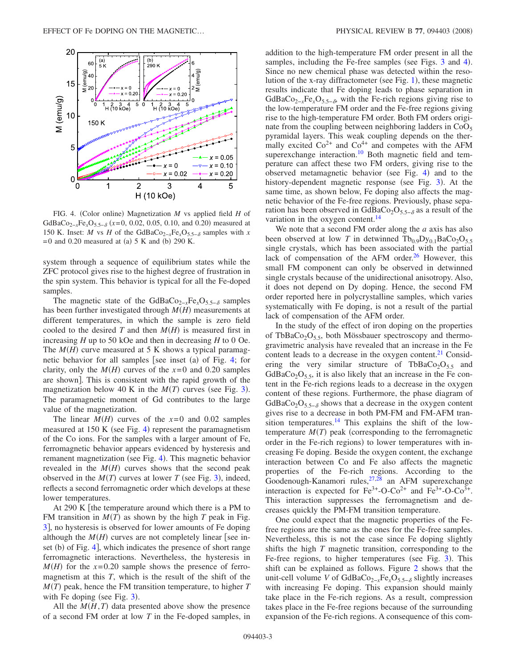<span id="page-2-0"></span>

FIG. 4. (Color online) Magnetization *M* vs applied field *H* of GdBaCo<sub>2−*x*</sub>Fe<sub>*x*</sub>O<sub>5.5−</sub> $\delta$  (*x*=0, 0.02, 0.05, 0.10, and 0.20) measured at 150 K. Inset: *M* vs *H* of the GdBaCo<sub>2−*x*</sub>Fe<sub>*x*</sub>O<sub>5.5− $\delta$ </sub> samples with *x*  $= 0$  and 0.20 measured at (a) 5 K and (b) 290 K.

system through a sequence of equilibrium states while the ZFC protocol gives rise to the highest degree of frustration in the spin system. This behavior is typical for all the Fe-doped samples.

The magnetic state of the GdBaCo<sub>2−*x*</sub>Fe<sub>*x*</sub>O<sub>5.5−</sub><sub>δ</sub> samples</sub> has been further investigated through  $M(H)$  measurements at different temperatures, in which the sample is zero field cooled to the desired  $T$  and then  $M(H)$  is measured first in increasing *H* up to 50 kOe and then in decreasing *H* to 0 Oe. The  $M(H)$  curve measured at 5 K shows a typical paramag-netic behavior for all samples [see inset (a) of Fig. [4;](#page-2-0) for clarity, only the  $M(H)$  curves of the  $x=0$  and 0.20 samples are shown]. This is consistent with the rapid growth of the magnetization below 40 K in the  $M(T)$  curves (see Fig. [3](#page-1-2)). The paramagnetic moment of Gd contributes to the large value of the magnetization.

The linear  $M(H)$  curves of the  $x=0$  and 0.02 samples measured at 150 K (see Fig. [4](#page-2-0)) represent the paramagnetism of the Co ions. For the samples with a larger amount of Fe, ferromagnetic behavior appears evidenced by hysteresis and remanent magnetization (see Fig. [4](#page-2-0)). This magnetic behavior revealed in the  $M(H)$  curves shows that the second peak observed in the  $M(T)$  curves at lower *T* (see Fig. [3](#page-1-2)), indeed, reflects a second ferromagnetic order which develops at these lower temperatures.

At 290 K the temperature around which there is a PM to FM transition in  $M(T)$  as shown by the high  $T$  peak in Fig. [3](#page-1-2), no hysteresis is observed for lower amounts of Fe doping although the  $M(H)$  curves are not completely linear [see in-set (b) of Fig. [4](#page-2-0)], which indicates the presence of short range ferromagnetic interactions. Nevertheless, the hysteresis in  $M(H)$  for the  $x=0.20$  sample shows the presence of ferromagnetism at this *T*, which is the result of the shift of the  $M(T)$  peak, hence the FM transition temperature, to higher  $T$ with Fe doping (see Fig.  $3$ ).

All the  $M(H, T)$  data presented above show the presence of a second FM order at low *T* in the Fe-doped samples, in addition to the high-temperature FM order present in all the samples, including the Fe-free samples (see Figs. [3](#page-1-2) and [4](#page-2-0)). Since no new chemical phase was detected within the resolution of the x-ray diffractometer (see Fig.  $1$ ), these magnetic results indicate that Fe doping leads to phase separation in GdBaCo<sub>2−*x*</sub>Fe<sub>*x*</sub>O<sub>5.5− $\delta$ </sub>, with the Fe-rich regions giving rise to the low-temperature FM order and the Fe-free regions giving rise to the high-temperature FM order. Both FM orders originate from the coupling between neighboring ladders in  $CoO<sub>5</sub>$ pyramidal layers. This weak coupling depends on the thermally excited  $Co^{2+}$  and  $Co^{4+}$  and competes with the AFM superexchange interaction.<sup>10</sup> Both magnetic field and temperature can affect these two FM orders, giving rise to the observed metamagnetic behavior (see Fig. [4](#page-2-0)) and to the history-dependent magnetic response (see Fig. [3](#page-1-2)). At the same time, as shown below, Fe doping also affects the magnetic behavior of the Fe-free regions. Previously, phase separation has been observed in GdBaCo<sub>2</sub>O<sub>5.5− $\delta$ </sub> as a result of the variation in the oxygen content.<sup>14</sup>

We note that a second FM order along the *a* axis has also been observed at low *T* in detwinned  $Tb_{0.9}Dy_{0.1}BaCo<sub>2</sub>O<sub>5.5</sub>$ single crystals, which has been associated with the partial lack of compensation of the AFM order.<sup>26</sup> However, this small FM component can only be observed in detwinned single crystals because of the unidirectional anisotropy. Also, it does not depend on Dy doping. Hence, the second FM order reported here in polycrystalline samples, which varies systematically with Fe doping, is not a result of the partial lack of compensation of the AFM order.

In the study of the effect of iron doping on the properties of TbBaCo<sub>2</sub>O<sub>5.5</sub>, both Mössbauer spectroscopy and thermogravimetric analysis have revealed that an increase in the Fe content leads to a decrease in the oxygen content. $^{21}$  Considering the very similar structure of TbBaCo<sub>2</sub>O<sub>5.5</sub> and  $GdBaCo<sub>2</sub>O<sub>5.5</sub>$ , it is also likely that an increase in the Fe content in the Fe-rich regions leads to a decrease in the oxygen content of these regions. Furthermore, the phase diagram of GdBaCo<sub>2</sub>O<sub>5.5− $\delta$ </sub> shows that a decrease in the oxygen content gives rise to a decrease in both PM-FM and FM-AFM transition temperatures. $14$  This explains the shift of the lowtemperature  $M(T)$  peak (corresponding to the ferromagnetic order in the Fe-rich regions) to lower temperatures with increasing Fe doping. Beside the oxygen content, the exchange interaction between Co and Fe also affects the magnetic properties of the Fe-rich regions. According to the Goodenough-Kanamori rules, <sup>27,[28](#page-4-22)</sup> an AFM superexchange interaction is expected for  $Fe^{3+}-O-Co^{2+}$  and  $Fe^{3+}-O-Co^{3+}$ . This interaction suppresses the ferromagnetism and decreases quickly the PM-FM transition temperature.

One could expect that the magnetic properties of the Fefree regions are the same as the ones for the Fe-free samples. Nevertheless, this is not the case since Fe doping slightly shifts the high *T* magnetic transition, corresponding to the Fe-free regions, to higher temperatures (see Fig. [3](#page-1-2)). This shift can be explained as follows. Figure [2](#page-1-1) shows that the unit-cell volume *V* of GdBaCo2−*x*Fe*x*O5.5− slightly increases with increasing Fe doping. This expansion should mainly take place in the Fe-rich regions. As a result, compression takes place in the Fe-free regions because of the surrounding expansion of the Fe-rich regions. A consequence of this com-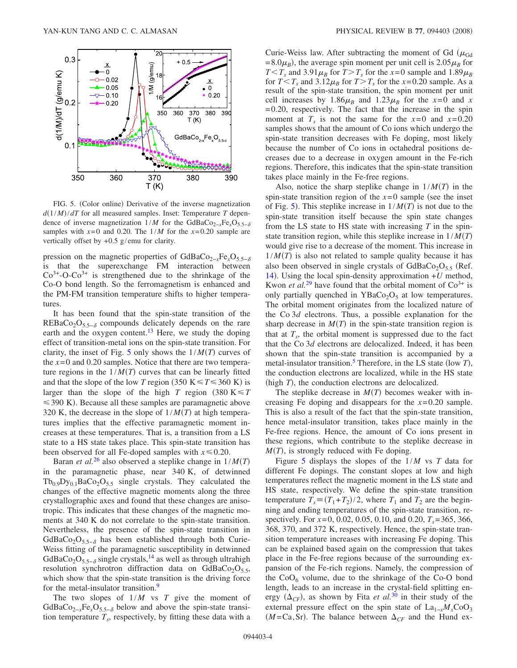<span id="page-3-0"></span>

FIG. 5. (Color online) Derivative of the inverse magnetization  $d(1/M)/dT$  for all measured samples. Inset: Temperature *T* dependence of inverse magnetization  $1/M$  for the GdBaCo<sub>2−*x*</sub>Fe<sub>*x*</sub>O<sub>5.5− $\delta$ </sub> samples with  $x=0$  and 0.20. The  $1/M$  for the  $x=0.20$  sample are vertically offset by +0.5 g/emu for clarity.

pression on the magnetic properties of GdBaCo<sub>2−*x*</sub>Fe<sub>*x*</sub>O<sub>5.5− $\delta$ </sub> is that the superexchange FM interaction between  $Co<sup>3+</sup>-O-Co<sup>3+</sup>$  is strengthened due to the shrinkage of the Co-O bond length. So the ferromagnetism is enhanced and the PM-FM transition temperature shifts to higher temperatures.

It has been found that the spin-state transition of the REBaCo<sub>2</sub>O<sub>5.5− $\delta$ </sub> compounds delicately depends on the rare earth and the oxygen content.<sup>13</sup> Here, we study the doping effect of transition-metal ions on the spin-state transition. For clarity, the inset of Fig. [5](#page-3-0) only shows the  $1/M(T)$  curves of the  $x=0$  and 0.20 samples. Notice that there are two temperature regions in the  $1/M(T)$  curves that can be linearly fitted and that the slope of the low *T* region (350 K  $\leq T \leq 360$  K) is larger than the slope of the high *T* region  $(380 \text{ K} \leq T)$  $\leq$  390 K). Because all these samples are paramagnetic above 320 K, the decrease in the slope of  $1/M(T)$  at high temperatures implies that the effective paramagnetic moment increases at these temperatures. That is, a transition from a LS state to a HS state takes place. This spin-state transition has been observed for all Fe-doped samples with  $x \le 0.20$ .

Baran *et al.*[26](#page-4-20) also observed a steplike change in 1/*MT* in the paramagnetic phase, near 340 K, of detwinned  $Tb_{0.9}Dy_{0.1}BaCo<sub>2</sub>O<sub>5.5</sub>$  single crystals. They calculated the changes of the effective magnetic moments along the three crystallographic axes and found that these changes are anisotropic. This indicates that these changes of the magnetic moments at 340 K do not correlate to the spin-state transition. Nevertheless, the presence of the spin-state transition in GdBaCo<sub>2</sub>O<sub>5.5−</sub> has been established through both Curie-Weiss fitting of the paramagnetic susceptibility in detwinned GdBaCo<sub>2</sub>O<sub>5.5−</sub> $\delta$  single crystals,<sup>14</sup> as well as through ultrahigh resolution synchrotron diffraction data on  $GdBaCo<sub>2</sub>O<sub>5.5</sub>$ , which show that the spin-state transition is the driving force for the metal-insulator transition.<sup>9</sup>

The two slopes of 1/*M* vs *T* give the moment of GdBaCo<sub>2−*x*</sub>Fe<sub>*x*</sub>O<sub>5.5− $\delta$ </sub> below and above the spin-state transition temperature  $T_s$ , respectively, by fitting these data with a Curie-Weiss law. After subtracting the moment of Gd ( $\mu_{Gd}$ )  $=8.0\mu_B$ ), the average spin moment per unit cell is  $2.05\mu_B$  for  $T < T_s$  and 3.91 $\mu_B$  for  $T > T_s$  for the  $x=0$  sample and 1.89 $\mu_B$ for  $T < T_s$  and  $3.12 \mu_B$  for  $T > T_s$  for the  $x=0.20$  sample. As a result of the spin-state transition, the spin moment per unit cell increases by 1.86 $\mu_B$  and 1.23 $\mu_B$  for the *x*=0 and *x* =0.20, respectively. The fact that the increase in the spin moment at  $T_s$  is not the same for the  $x=0$  and  $x=0.20$ samples shows that the amount of Co ions which undergo the spin-state transition decreases with Fe doping, most likely because the number of Co ions in octahedral positions decreases due to a decrease in oxygen amount in the Fe-rich regions. Therefore, this indicates that the spin-state transition takes place mainly in the Fe-free regions.

Also, notice the sharp steplike change in  $1/M(T)$  in the spin-state transition region of the  $x=0$  sample (see the inset of Fig. [5](#page-3-0)). This steplike increase in  $1/M(T)$  is not due to the spin-state transition itself because the spin state changes from the LS state to HS state with increasing *T* in the spinstate transition region, while this steplike increase in  $1/M(T)$ would give rise to a decrease of the moment. This increase in  $1/M(T)$  is also not related to sample quality because it has also been observed in single crystals of  $GdBaCo<sub>2</sub>O<sub>5.5</sub>$  (Ref. [14](#page-4-13)). Using the local spin-density approximation  $+U$  method, Kwon *et al.*<sup>[29](#page-4-24)</sup> have found that the orbital moment of  $\text{Co}^{3+}$  is only partially quenched in  $YBaCo<sub>2</sub>O<sub>5</sub>$  at low temperatures. The orbital moment originates from the localized nature of the Co 3*d* electrons. Thus, a possible explanation for the sharp decrease in  $M(T)$  in the spin-state transition region is that at  $T_s$ , the orbital moment is suppressed due to the fact that the Co 3*d* electrons are delocalized. Indeed, it has been shown that the spin-state transition is accompanied by a metal-insulator transition.<sup>5</sup> Therefore, in the LS state (low *T*), the conduction electrons are localized, while in the HS state (high  $T$ ), the conduction electrons are delocalized.

The steplike decrease in  $M(T)$  becomes weaker with increasing Fe doping and disappears for the *x*=0.20 sample. This is also a result of the fact that the spin-state transition, hence metal-insulator transition, takes place mainly in the Fe-free regions. Hence, the amount of Co ions present in these regions, which contribute to the steplike decrease in  $M(T)$ , is strongly reduced with Fe doping.

Figure [5](#page-3-0) displays the slopes of the 1/*M* vs *T* data for different Fe dopings. The constant slopes at low and high temperatures reflect the magnetic moment in the LS state and HS state, respectively. We define the spin-state transition temperature  $T_s = (T_1 + T_2)/2$ , where  $T_1$  and  $T_2$  are the beginning and ending temperatures of the spin-state transition, respectively. For *x*=0, 0.02, 0.05, 0.10, and 0.20, *T<sub>s</sub>*=365, 366, 368, 370, and 372 K, respectively. Hence, the spin-state transition temperature increases with increasing Fe doping. This can be explained based again on the compression that takes place in the Fe-free regions because of the surrounding expansion of the Fe-rich regions. Namely, the compression of the  $CoO<sub>6</sub>$  volume, due to the shrinkage of the Co-O bond length, leads to an increase in the crystal-field splitting energy  $(\Delta_{CF})$ , as shown by Fita *et al.*<sup>[30](#page-4-25)</sup> in their study of the external pressure effect on the spin state of  $La_{1-x}M_{x}CoO_{3}$  $(M=Ca, Sr)$ . The balance between  $\Delta_{CF}$  and the Hund ex-